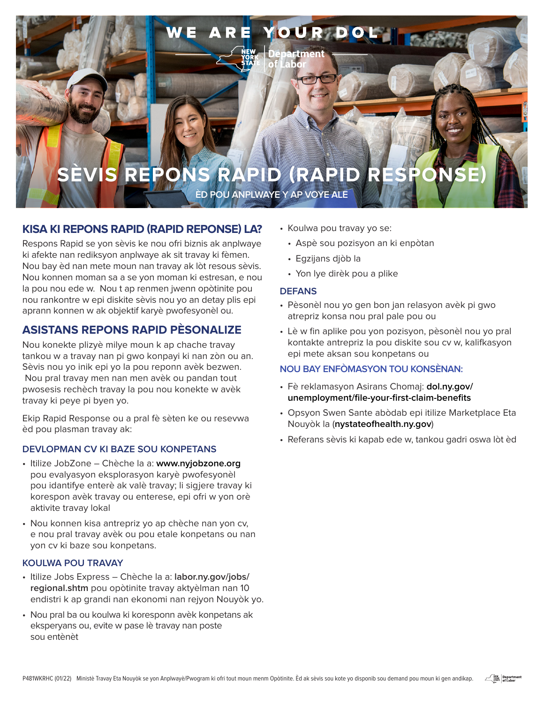

# **KISA KI REPONS RAPID (RAPID REPONSE) LA?**

Respons Rapid se yon sèvis ke nou ofri biznis ak anplwaye ki afekte nan rediksyon anplwaye ak sit travay ki fèmen. Nou bay èd nan mete moun nan travay ak lòt resous sèvis. Nou konnen moman sa a se yon moman ki estresan, e nou la pou nou ede w. Nou t ap renmen jwenn opòtinite pou nou rankontre w epi diskite sèvis nou yo an detay plis epi aprann konnen w ak objektif karyè pwofesyonèl ou.

# **ASISTANS REPONS RAPID PÈSONALIZE**

Nou konekte plizyè milye moun k ap chache travay tankou w a travay nan pi gwo konpayi ki nan zòn ou an. Sèvis nou yo inik epi yo la pou reponn avèk bezwen. Nou pral travay men nan men avèk ou pandan tout pwosesis rechèch travay la pou nou konekte w avèk travay ki peye pi byen yo.

Ekip Rapid Response ou a pral fè sèten ke ou resevwa èd pou plasman travay ak:

## **DEVLOPMAN CV KI BAZE SOU KONPETANS**

- Itilize JobZone Chèche la a: **www.nyjobzone.org** pou evalyasyon eksplorasyon karyè pwofesyonèl pou idantifye enterè ak valè travay; li sigjere travay ki korespon avèk travay ou enterese, epi ofri w yon orè aktivite travay lokal
- Nou konnen kisa antrepriz yo ap chèche nan yon cv, e nou pral travay avèk ou pou etale konpetans ou nan yon cv ki baze sou konpetans.

## **KOULWA POU TRAVAY**

- Itilize Jobs Express Chèche la a: **labor.ny.gov/jobs/ regional.shtm** pou opòtinite travay aktyèlman nan 10 endistri k ap grandi nan ekonomi nan rejyon Nouyòk yo.
- Nou pral ba ou koulwa ki koresponn avèk konpetans ak eksperyans ou, evite w pase lè travay nan poste sou entènèt
- Koulwa pou travay yo se:
	- Aspè sou pozisyon an ki enpòtan
	- Egzijans djòb la
	- Yon lye dirèk pou a plike

#### **DEFANS**

- Pèsonèl nou yo gen bon jan relasyon avèk pi gwo atrepriz konsa nou pral pale pou ou
- Lè w fin aplike pou yon pozisyon, pèsonèl nou yo pral kontakte antrepriz la pou diskite sou cv w, kalifkasyon epi mete aksan sou konpetans ou

## **NOU BAY ENFÒMASYON TOU KONSÈNAN:**

- Fè reklamasyon Asirans Chomaj: **dol.ny.gov/ unemployment/file-your-first-claim-benefits**
- Opsyon Swen Sante abòdab epi itilize Marketplace Eta Nouyòk la (**nystateofhealth.ny.gov**)
- Referans sèvis ki kapab ede w, tankou gadri oswa lòt èd